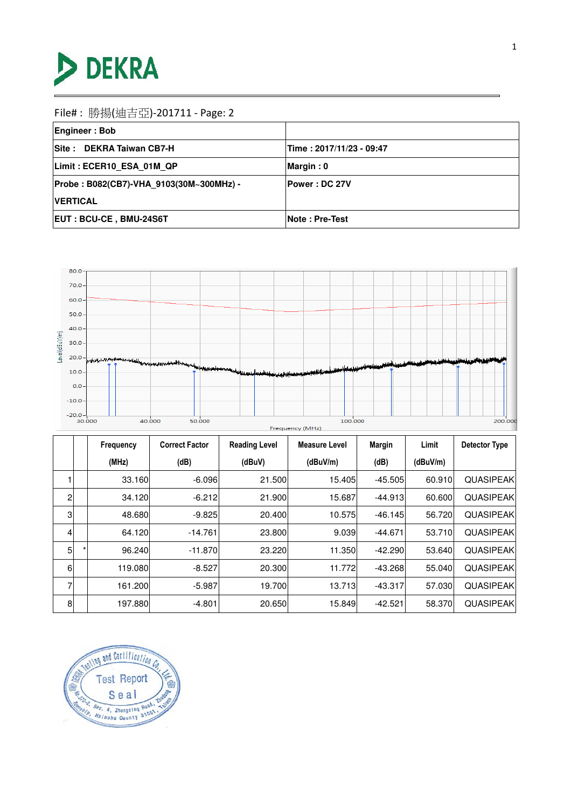

| <b>Engineer: Bob</b>                    |                           |
|-----------------------------------------|---------------------------|
| Site: DEKRA Taiwan CB7-H                | Time : 2017/11/23 - 09:47 |
| Limit: ECER10 ESA 01M QP                | Margin: 0                 |
| Probe: B082(CB7)-VHA 9103(30M~300MHz) - | <b>Power : DC 27V</b>     |
| <b>IVERTICAL</b>                        |                           |
| <b>EUT: BCU-CE, BMU-24S6T</b>           | Note: Pre-Test            |



|                |         | Frequency | <b>Correct Factor</b> | <b>Reading Level</b> | <b>Measure Level</b> | Margin    | Limit    | Detector Type    |
|----------------|---------|-----------|-----------------------|----------------------|----------------------|-----------|----------|------------------|
|                |         | (MHz)     | (dB)                  | (dBuV)               | (dBuV/m)             | (dB)      | (dBuV/m) |                  |
|                |         | 33.160    | -6.096                | 21.500               | 15.405               | $-45.505$ | 60.910   | <b>QUASIPEAK</b> |
| $\overline{2}$ |         | 34.120    | $-6.212$              | 21,900               | 15.687               | $-44.913$ | 60.600   | <b>QUASIPEAK</b> |
| 3              |         | 48.680    | $-9.825$              | 20.400               | 10.575               | $-46.145$ | 56.720   | <b>QUASIPEAK</b> |
| $\overline{4}$ |         | 64.120    | $-14.761$             | <b>23.800</b>        | 9.039                | $-44.671$ | 53.710   | <b>QUASIPEAK</b> |
| 5 <sub>5</sub> | $\star$ | 96.240    | $-11.870$             | 23.220               | 11.350               | $-42.290$ | 53.640   | <b>QUASIPEAK</b> |
| 6              |         | 119.080   | $-8.527$              | <b>20.300</b>        | 11.772               | $-43.268$ | 55.040   | <b>QUASIPEAK</b> |
| 7              |         | 161.200   | $-5.987$              | 19.700               | 13.713               | $-43.317$ | 57.030   | <b>QUASIPEAK</b> |
| 8              |         | 197.880   | $-4.801$              | 20.650               | 15.849               | $-42.521$ | 58,370   | <b>QUASIPEAK</b> |

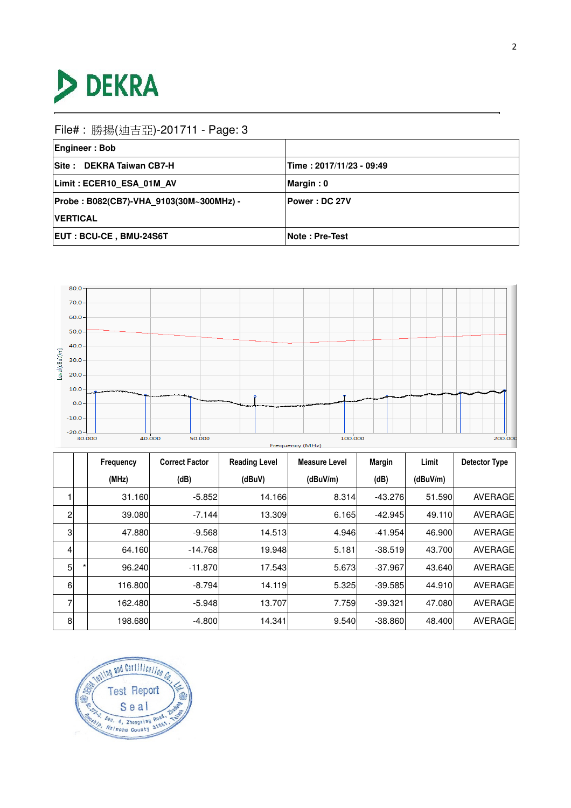

| <b>Engineer: Bob</b>                    |                          |
|-----------------------------------------|--------------------------|
| Site: DEKRA Taiwan CB7-H                | Time: 2017/11/23 - 09:49 |
| Limit: ECER10 ESA 01M AV                | Margin: 0                |
| Probe: B082(CB7)-VHA 9103(30M~300MHz) - | <b>Power: DC 27V</b>     |
| <b>VERTICAL</b>                         |                          |
| <b>EUT: BCU-CE, BMU-24S6T</b>           | <b>Note: Pre-Test</b>    |



|                |         | Frequency | <b>Correct Factor</b> | <b>Reading Level</b> | <b>Measure Level</b> | <b>Margin</b> | Limit    | <b>Detector Type</b> |
|----------------|---------|-----------|-----------------------|----------------------|----------------------|---------------|----------|----------------------|
|                |         | (MHz)     | (dB)                  | (dBuV)               | (dBuV/m)             | (dB)          | (dBuV/m) |                      |
|                |         | 31.160    | $-5.852$              | 14.166               | 8.314                | $-43.276$     | 51.590   | <b>AVERAGE</b>       |
| $\overline{2}$ |         | 39.080    | $-7.144$              | 13.309               | 6.165                | $-42.945$     | 49.110   | AVERAGE              |
| 3              |         | 47.880    | $-9.568$              | 14.513               | 4.946                | $-41.954$     | 46.900   | <b>AVERAGE</b>       |
| $\overline{4}$ |         | 64.160    | $-14.768$             | 19.948               | 5.181                | $-38.519$     | 43.700   | AVERAGE              |
| 5 <sub>5</sub> | $\star$ | 96.240    | $-11.870$             | 17.543               | 5.673                | $-37.967$     | 43.640   | AVERAGE              |
| 6              |         | 116,800   | -8.794                | 14.119               | 5.325                | $-39.585$     | 44.910   | <b>AVERAGE</b>       |
| 7              |         | 162.480   | $-5.948$              | 13.707               | 7.759                | $-39.321$     | 47.080   | <b>AVERAGE</b>       |
| 8              |         | 198.680   | $-4.800$              | 14.341               | 9.540                | $-38.860$     | 48.400   | AVERAGE              |

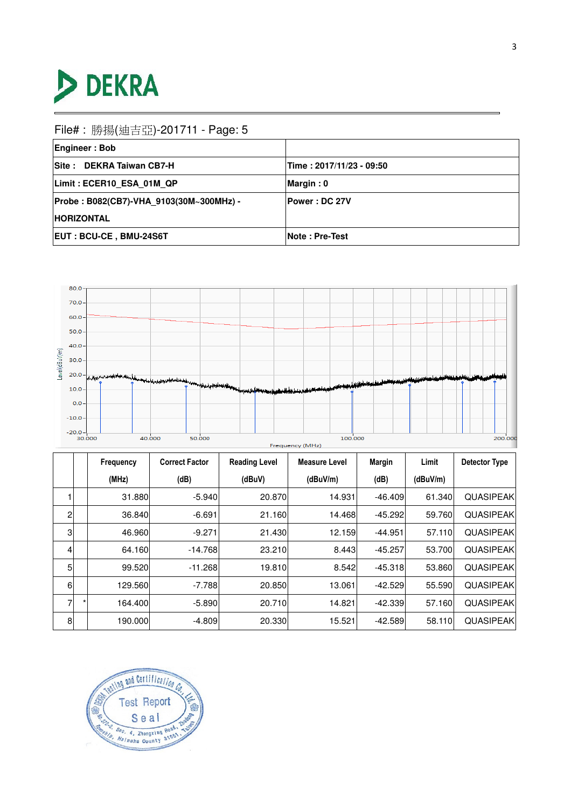

| <b>Engineer: Bob</b>                    |                          |
|-----------------------------------------|--------------------------|
| Site: DEKRA Taiwan CB7-H                | Time: 2017/11/23 - 09:50 |
| Limit: ECER10 ESA 01M QP                | Margin: 0                |
| Probe: B082(CB7)-VHA 9103(30M~300MHz) - | <b> Power : DC 27V</b>   |
| <b>HORIZONTAL</b>                       |                          |
| <b>EUT: BCU-CE, BMU-24S6T</b>           | <b>Note: Pre-Test</b>    |



|   |         | Frequency | <b>Correct Factor</b> | <b>Reading Level</b> | <b>Measure Level</b> | <b>Margin</b> | Limit    | Detector Type    |
|---|---------|-----------|-----------------------|----------------------|----------------------|---------------|----------|------------------|
|   |         | (MHz)     | (dB)                  | (dBuV)               | (dBuV/m)             | (dB)          | (dBuV/m) |                  |
|   |         | 31,880    | $-5.940$              | 20.870               | 14.931               | $-46.409$     | 61.340   | <b>QUASIPEAK</b> |
| 2 |         | 36.840    | $-6.691$              | 21.160               | 14.468               | $-45.292$     | 59.760   | <b>QUASIPEAK</b> |
| 3 |         | 46.960    | $-9.271$              | 21.430               | 12.159               | $-44.951$     | 57.110   | <b>QUASIPEAK</b> |
| 4 |         | 64.160    | $-14.768$             | 23.210               | 8.443                | $-45.257$     | 53.700   | <b>QUASIPEAK</b> |
| 5 |         | 99.520    | $-11.268$             | 19.810               | 8.542                | $-45.318$     | 53.860   | <b>QUASIPEAK</b> |
| 6 |         | 129.560   | $-7.788$              | 20.850               | 13.061               | $-42.529$     | 55.590   | <b>QUASIPEAK</b> |
| 7 | $\star$ | 164.400   | $-5.890$              | 20.710               | 14.821               | $-42.339$     | 57.160   | <b>QUASIPEAK</b> |
| 8 |         | 190.000   | $-4.809$              | 20.330               | 15.521               | $-42.589$     | 58.110   | <b>QUASIPEAK</b> |

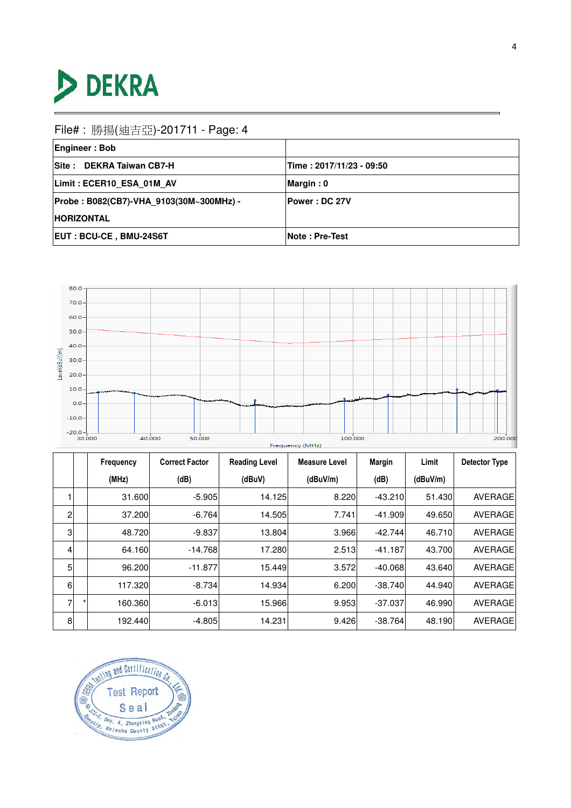

| <b>Engineer: Bob</b>                    |                          |
|-----------------------------------------|--------------------------|
| Site: DEKRA Taiwan CB7-H                | Time: 2017/11/23 - 09:50 |
| Limit: ECER10 ESA 01M AV                | Margin: 0                |
| Probe: B082(CB7)-VHA 9103(30M~300MHz) - | <b> Power : DC 27V</b>   |
| <b>HORIZONTAL</b>                       |                          |
| <b>EUT: BCU-CE, BMU-24S6T</b>           | <b>Note : Pre-Test</b>   |



|                |         | Frequency | <b>Correct Factor</b> | <b>Reading Level</b> | <b>Measure Level</b> | <b>Margin</b> | Limit    | <b>Detector Type</b> |
|----------------|---------|-----------|-----------------------|----------------------|----------------------|---------------|----------|----------------------|
|                |         | (MHz)     | (dB)                  | (dBuV)               | (dBuV/m)             | (dB)          | (dBuV/m) |                      |
|                |         | 31.600    | $-5.905$              | 14.125               | 8.220                | $-43.210$     | 51.430   | <b>AVERAGE</b>       |
| $\overline{2}$ |         | 37.200    | $-6.764$              | 14.505               | 7.741                | $-41.909$     | 49.650   | AVERAGE              |
| 3              |         | 48.720    | $-9.837$              | 13.804               | 3.966                | $-42.744$     | 46.710   | <b>AVERAGE</b>       |
| $\overline{4}$ |         | 64.160    | $-14.768$             | 17.280               | 2.513                | $-41.187$     | 43.700   | <b>AVERAGE</b>       |
| 5 <sub>1</sub> |         | 96.200    | $-11.877$             | 15.449               | 3.572                | $-40.068$     | 43.640   | <b>AVERAGE</b>       |
| 6              |         | 117.320   | -8.734                | 14.934               | 6.200                | $-38.740$     | 44.940   | <b>AVERAGE</b>       |
| 7              | $\star$ | 160.360   | $-6.013$              | 15.966               | 9.953                | $-37.037$     | 46.990   | <b>AVERAGE</b>       |
| 8              |         | 192.440   | $-4.805$              | 14.231               | 9.426                | $-38.764$     | 48.190   | <b>AVERAGE</b>       |

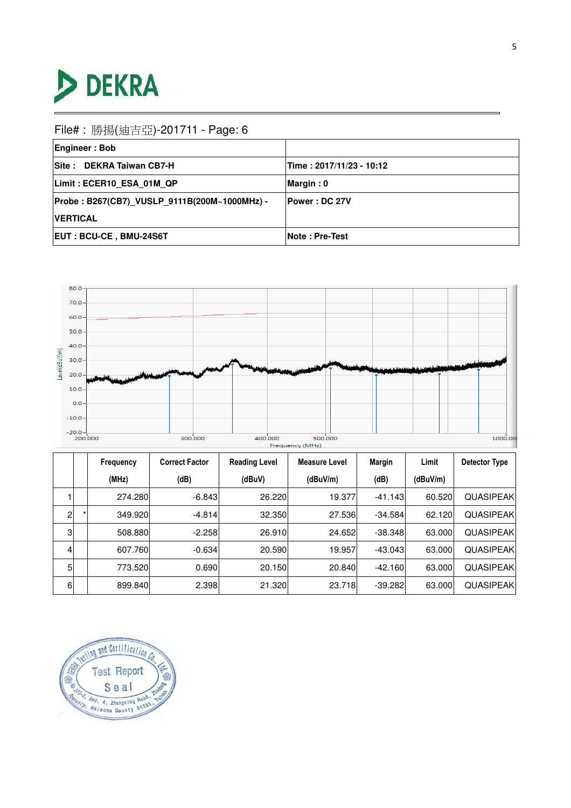

| <b>Engineer: Bob</b>                         |                          |
|----------------------------------------------|--------------------------|
| Site: DEKRA Taiwan CB7-H                     | Time: 2017/11/23 - 10:12 |
| Limit: ECER10 ESA 01M QP                     | Margin: 0                |
| Probe: B267(CB7) VUSLP 9111B(200M~1000MHz) - | <b>Power: DC 27V</b>     |
| <b>IVERTICAL</b>                             |                          |
| <b>EUT: BCU-CE, BMU-24S6T</b>                | <b>Note: Pre-Test</b>    |



|                | Frequency | <b>Correct Factor</b> | <b>Reading Level</b> | <b>Measure Level</b> | Margin    | Limit    | Detector Type     |
|----------------|-----------|-----------------------|----------------------|----------------------|-----------|----------|-------------------|
|                | (MHz)     | (dB)                  | (dBuV)               | (dBuV/m)             | (dB)      | (dBuV/m) |                   |
|                | 274.280   | $-6.843$              | 26.220               | 19.377               | $-41.143$ | 60.520   | <b>QUASIPEAK</b>  |
| $\overline{2}$ | 349.920   | $-4.814$              | 32.350               | 27.536               | $-34.584$ | 62.120   | <b>QUASIPEAK</b>  |
| 3 <sub>l</sub> | 508.880   | $-2.258$              | 26.910               | 24.652               | $-38.348$ | 63.000   | <b>QUASIPEAKI</b> |
| $\overline{4}$ | 607.760   | $-0.634$              | 20.590               | 19.957               | $-43.043$ | 63.000   | <b>QUASIPEAKI</b> |
| 5              | 773.520   | 0.690                 | 20.150               | 20.840               | $-42.160$ | 63.000   | <b>QUASIPEAKI</b> |
| 6              | 899.840   | 2.398                 | 21.320               | 23.718               | $-39.282$ | 63.000   | <b>QUASIPEAKI</b> |

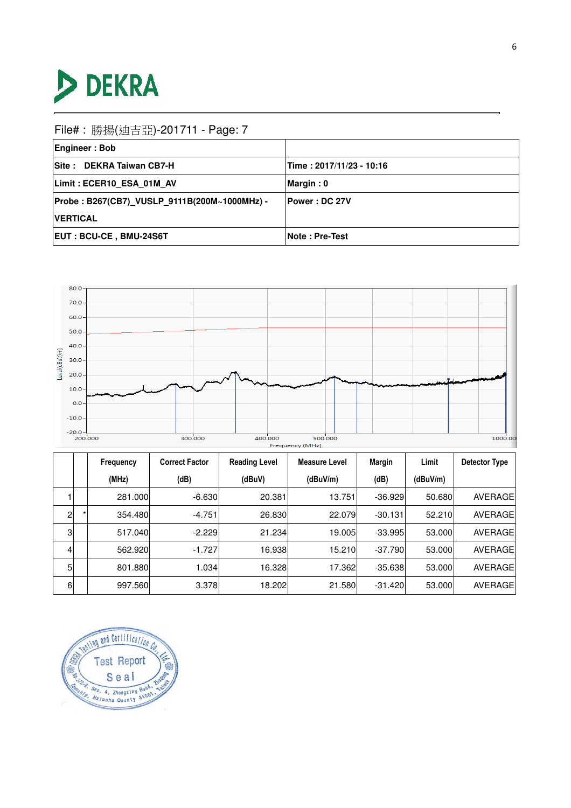

| <b>Engineer: Bob</b>                         |                          |
|----------------------------------------------|--------------------------|
| Site: DEKRA Taiwan CB7-H                     | Time: 2017/11/23 - 10:16 |
| Limit: ECER10 ESA 01M AV                     | Margin: 0                |
| Probe: B267(CB7) VUSLP 9111B(200M~1000MHz) - | <b>Power : DC 27V</b>    |
| <b>IVERTICAL</b>                             |                          |
| <b>EUT: BCU-CE, BMU-24S6T</b>                | <b>Note: Pre-Test</b>    |



|                | Frequency | <b>Correct Factor</b> | <b>Reading Level</b> | Measure Level | Margin    | Limit    | Detector Type |
|----------------|-----------|-----------------------|----------------------|---------------|-----------|----------|---------------|
|                | (MHz)     | (dB)                  | (dBuV)               | (dBuV/m)      | (dB)      | (dBuV/m) |               |
|                | 281.000   | $-6.630$              | 20.381               | 13.751        | $-36.929$ | 50.680   | AVERAGE       |
| $\overline{2}$ | 354.480   | $-4.751$              | 26.830               | 22.079        | $-30.131$ | 52.210   | AVERAGE       |
| 3              | 517.040   | $-2.229$              | 21.234               | 19.005l       | $-33.995$ | 53,000   | AVERAGE       |
| 4              | 562.920   | $-1.727$              | 16.938               | 15.210        | $-37.790$ | 53,000   | AVERAGE       |
| 5              | 801.880   | 1.034                 | 16.328               | 17.362        | $-35.638$ | 53,000   | AVERAGE       |
| 6              | 997.560   | 3.378                 | 18.202               | 21.580        | $-31.420$ | 53,000   | AVERAGE       |

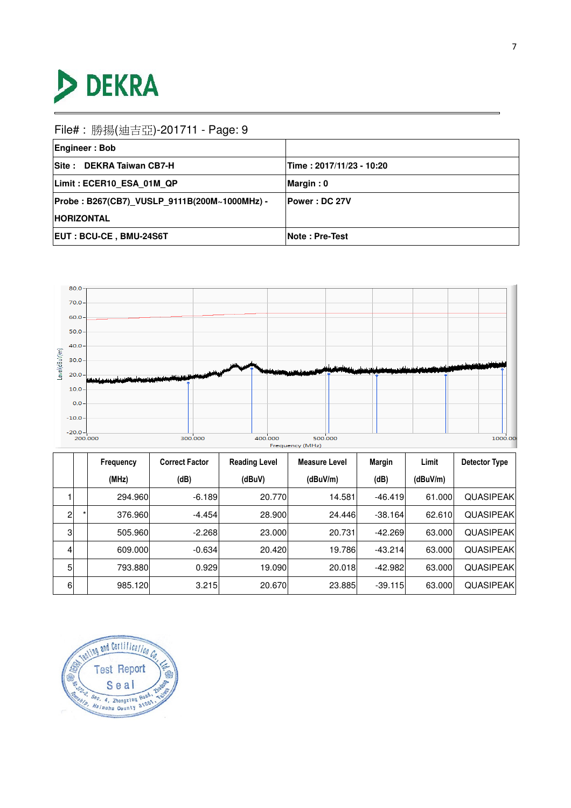

| <b>Engineer: Bob</b>                         |                          |  |  |
|----------------------------------------------|--------------------------|--|--|
| Site: DEKRA Taiwan CB7-H                     | Time: 2017/11/23 - 10:20 |  |  |
| Limit: ECER10 ESA 01M QP                     | Margin: 0                |  |  |
| Probe: B267(CB7) VUSLP 9111B(200M~1000MHz) - | <b>Power: DC 27V</b>     |  |  |
| <b>HORIZONTAL</b>                            |                          |  |  |
| <b>EUT: BCU-CE, BMU-24S6T</b>                | <b>Note: Pre-Test</b>    |  |  |



|                | Frequency | <b>Correct Factor</b> | <b>Reading Level</b> | <b>Measure Level</b> | Margin    | Limit    | Detector Type     |
|----------------|-----------|-----------------------|----------------------|----------------------|-----------|----------|-------------------|
|                | (MHz)     | (dB)                  | (dBuV)               | (dBuV/m)             | (dB)      | (dBuV/m) |                   |
|                | 294.960   | $-6.189$              | 20.770               | 14.581               | $-46.419$ | 61.000   | <b>QUASIPEAK</b>  |
| $\overline{2}$ | 376.960   | $-4.454$              | 28,900               | 24.446               | $-38.164$ | 62.610   | <b>QUASIPEAK</b>  |
| 3 <sub>l</sub> | 505.960   | $-2.268$              | 23,000               | 20.731               | $-42.269$ | 63.000   | <b>QUASIPEAKI</b> |
| $\overline{4}$ | 609.000   | $-0.634$              | 20.420               | 19.786               | $-43.214$ | 63.000   | <b>QUASIPEAKI</b> |
| 5              | 793.880   | 0.929                 | 19.090               | 20.018               | $-42.982$ | 63.000   | <b>QUASIPEAKI</b> |
| 6              | 985.120   | 3.215                 | 20.670               | 23.885               | $-39.115$ | 63.000   | <b>QUASIPEAKI</b> |